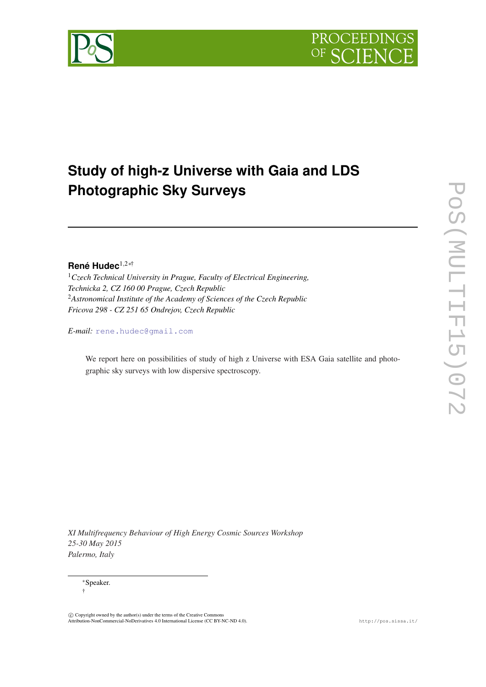

# **Study of high-z Universe with Gaia and LDS Photographic Sky Surveys**

# **René Hudec**1,2∗†

<sup>1</sup>*Czech Technical University in Prague, Faculty of Electrical Engineering, Technicka 2, CZ 160 00 Prague, Czech Republic* <sup>2</sup>*Astronomical Institute of the Academy of Sciences of the Czech Republic Fricova 298 - CZ 251 65 Ondrejov, Czech Republic*

*E-mail:* [rene.hudec@gmail.com](mailto:rene.hudec@gmail.com)

We report here on possibilities of study of high z Universe with ESA Gaia satellite and photographic sky surveys with low dispersive spectroscopy.

*XI Multifrequency Behaviour of High Energy Cosmic Sources Workshop 25-30 May 2015 Palermo, Italy*

<sup>∗</sup>Speaker. †

 $\circled{c}$  Copyright owned by the author(s) under the terms of the Creative Commons Attribution-NonCommercial-NoDerivatives 4.0 International License (CC BY-NC-ND 4.0). http://pos.sissa.it/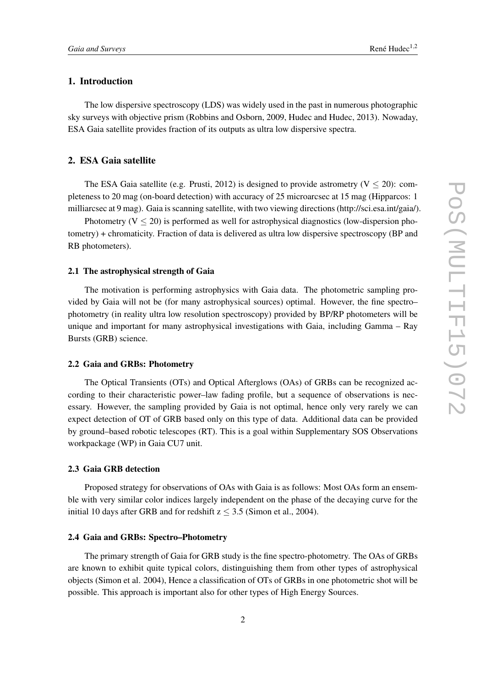# 1. Introduction

The low dispersive spectroscopy (LDS) was widely used in the past in numerous photographic sky surveys with objective prism (Robbins and Osborn, 2009, Hudec and Hudec, 2013). Nowaday, ESA Gaia satellite provides fraction of its outputs as ultra low dispersive spectra.

# 2. ESA Gaia satellite

The ESA Gaia satellite (e.g. Prusti, 2012) is designed to provide astrometry ( $V < 20$ ): completeness to 20 mag (on-board detection) with accuracy of 25 microarcsec at 15 mag (Hipparcos: 1 milliarcsec at 9 mag). Gaia is scanning satellite, with two viewing directions (http://sci.esa.int/gaia/).

Photometry  $(V < 20)$  is performed as well for astrophysical diagnostics (low-dispersion photometry) + chromaticity. Fraction of data is delivered as ultra low dispersive spectroscopy (BP and RB photometers).

# 2.1 The astrophysical strength of Gaia

The motivation is performing astrophysics with Gaia data. The photometric sampling provided by Gaia will not be (for many astrophysical sources) optimal. However, the fine spectro– photometry (in reality ultra low resolution spectroscopy) provided by BP/RP photometers will be unique and important for many astrophysical investigations with Gaia, including Gamma – Ray Bursts (GRB) science.

### 2.2 Gaia and GRBs: Photometry

The Optical Transients (OTs) and Optical Afterglows (OAs) of GRBs can be recognized according to their characteristic power–law fading profile, but a sequence of observations is necessary. However, the sampling provided by Gaia is not optimal, hence only very rarely we can expect detection of OT of GRB based only on this type of data. Additional data can be provided by ground–based robotic telescopes (RT). This is a goal within Supplementary SOS Observations workpackage (WP) in Gaia CU7 unit.

### 2.3 Gaia GRB detection

Proposed strategy for observations of OAs with Gaia is as follows: Most OAs form an ensemble with very similar color indices largely independent on the phase of the decaying curve for the initial 10 days after GRB and for redshift  $z \leq 3.5$  (Simon et al., 2004).

#### 2.4 Gaia and GRBs: Spectro–Photometry

The primary strength of Gaia for GRB study is the fine spectro-photometry. The OAs of GRBs are known to exhibit quite typical colors, distinguishing them from other types of astrophysical objects (Simon et al. 2004), Hence a classification of OTs of GRBs in one photometric shot will be possible. This approach is important also for other types of High Energy Sources.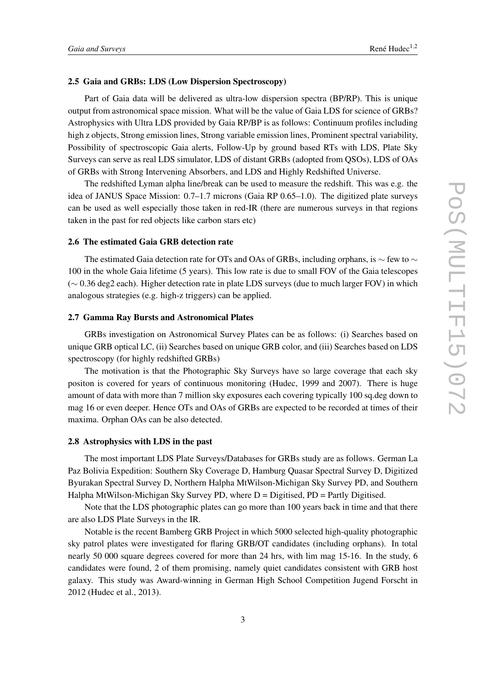### 2.5 Gaia and GRBs: LDS (Low Dispersion Spectroscopy)

Part of Gaia data will be delivered as ultra-low dispersion spectra (BP/RP). This is unique output from astronomical space mission. What will be the value of Gaia LDS for science of GRBs? Astrophysics with Ultra LDS provided by Gaia RP/BP is as follows: Continuum profiles including high z objects, Strong emission lines, Strong variable emission lines, Prominent spectral variability, Possibility of spectroscopic Gaia alerts, Follow-Up by ground based RTs with LDS, Plate Sky Surveys can serve as real LDS simulator, LDS of distant GRBs (adopted from QSOs), LDS of OAs of GRBs with Strong Intervening Absorbers, and LDS and Highly Redshifted Universe.

The redshifted Lyman alpha line/break can be used to measure the redshift. This was e.g. the idea of JANUS Space Mission: 0.7–1.7 microns (Gaia RP 0.65–1.0). The digitized plate surveys can be used as well especially those taken in red-IR (there are numerous surveys in that regions taken in the past for red objects like carbon stars etc)

# 2.6 The estimated Gaia GRB detection rate

The estimated Gaia detection rate for OTs and OAs of GRBs, including orphans, is  $\sim$  few to  $\sim$ 100 in the whole Gaia lifetime (5 years). This low rate is due to small FOV of the Gaia telescopes (∼ 0.36 deg2 each). Higher detection rate in plate LDS surveys (due to much larger FOV) in which analogous strategies (e.g. high-z triggers) can be applied.

# 2.7 Gamma Ray Bursts and Astronomical Plates

GRBs investigation on Astronomical Survey Plates can be as follows: (i) Searches based on unique GRB optical LC, (ii) Searches based on unique GRB color, and (iii) Searches based on LDS spectroscopy (for highly redshifted GRBs)

The motivation is that the Photographic Sky Surveys have so large coverage that each sky positon is covered for years of continuous monitoring (Hudec, 1999 and 2007). There is huge amount of data with more than 7 million sky exposures each covering typically 100 sq.deg down to mag 16 or even deeper. Hence OTs and OAs of GRBs are expected to be recorded at times of their maxima. Orphan OAs can be also detected.

# 2.8 Astrophysics with LDS in the past

The most important LDS Plate Surveys/Databases for GRBs study are as follows. German La Paz Bolivia Expedition: Southern Sky Coverage D, Hamburg Quasar Spectral Survey D, Digitized Byurakan Spectral Survey D, Northern Halpha MtWilson-Michigan Sky Survey PD, and Southern Halpha MtWilson-Michigan Sky Survey PD, where  $D =$  Digitised, PD = Partly Digitised.

Note that the LDS photographic plates can go more than 100 years back in time and that there are also LDS Plate Surveys in the IR.

Notable is the recent Bamberg GRB Project in which 5000 selected high-quality photographic sky patrol plates were investigated for flaring GRB/OT candidates (including orphans). In total nearly 50 000 square degrees covered for more than 24 hrs, with lim mag 15-16. In the study, 6 candidates were found, 2 of them promising, namely quiet candidates consistent with GRB host galaxy. This study was Award-winning in German High School Competition Jugend Forscht in 2012 (Hudec et al., 2013).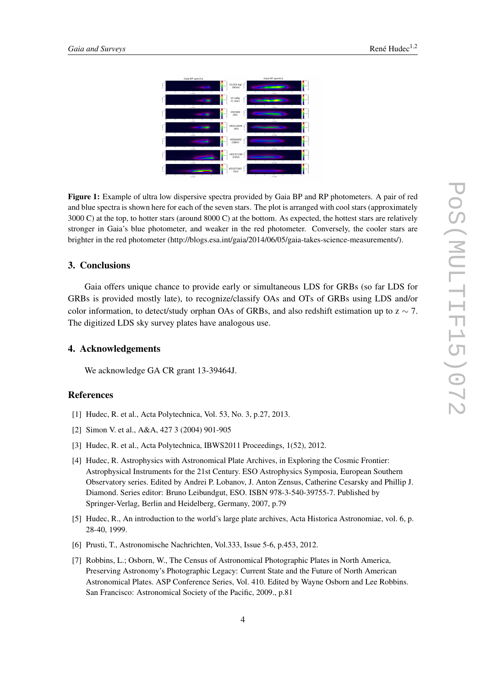



Figure 1: Example of ultra low dispersive spectra provided by Gaia BP and RP photometers. A pair of red and blue spectra is shown here for each of the seven stars. The plot is arranged with cool stars (approximately 3000 C) at the top, to hotter stars (around 8000 C) at the bottom. As expected, the hottest stars are relatively stronger in Gaia's blue photometer, and weaker in the red photometer. Conversely, the cooler stars are brighter in the red photometer (http://blogs.esa.int/gaia/2014/06/05/gaia-takes-science-measurements/).

# 3. Conclusions

Gaia offers unique chance to provide early or simultaneous LDS for GRBs (so far LDS for GRBs is provided mostly late), to recognize/classify OAs and OTs of GRBs using LDS and/or color information, to detect/study orphan OAs of GRBs, and also redshift estimation up to  $z \sim 7$ . The digitized LDS sky survey plates have analogous use.

## 4. Acknowledgements

We acknowledge GA CR grant 13-39464J.

#### References

- [1] Hudec, R. et al., Acta Polytechnica, Vol. 53, No. 3, p.27, 2013.
- [2] Simon V. et al., A&A, 427 3 (2004) 901-905
- [3] Hudec, R. et al., Acta Polytechnica, IBWS2011 Proceedings, 1(52), 2012.
- [4] Hudec, R. Astrophysics with Astronomical Plate Archives, in Exploring the Cosmic Frontier: Astrophysical Instruments for the 21st Century. ESO Astrophysics Symposia, European Southern Observatory series. Edited by Andrei P. Lobanov, J. Anton Zensus, Catherine Cesarsky and Phillip J. Diamond. Series editor: Bruno Leibundgut, ESO. ISBN 978-3-540-39755-7. Published by Springer-Verlag, Berlin and Heidelberg, Germany, 2007, p.79
- [5] Hudec, R., An introduction to the world's large plate archives, Acta Historica Astronomiae, vol. 6, p. 28-40, 1999.
- [6] Prusti, T., Astronomische Nachrichten, Vol.333, Issue 5-6, p.453, 2012.
- [7] Robbins, L.; Osborn, W., The Census of Astronomical Photographic Plates in North America, Preserving Astronomy's Photographic Legacy: Current State and the Future of North American Astronomical Plates. ASP Conference Series, Vol. 410. Edited by Wayne Osborn and Lee Robbins. San Francisco: Astronomical Society of the Pacific, 2009., p.81